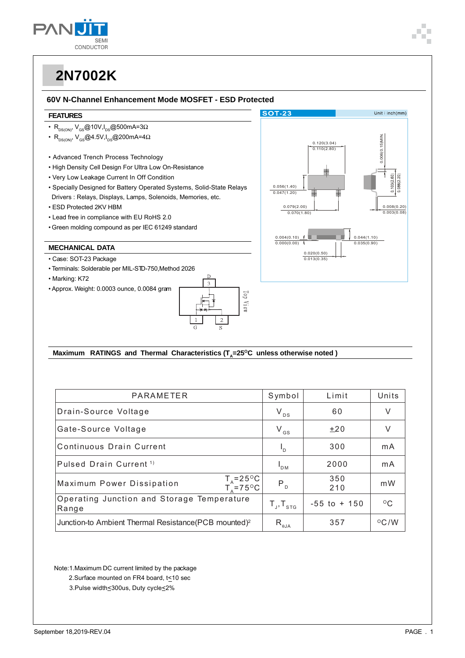

#### 60V N-Channel Enhancement Mode MOSFET - ESD Protected

#### **FEATURES**

- $R_{DS(ON)}$ ,  $V_{GS}$ @10V,  $I_{DS}$ @500mA=3 $\Omega$
- $\cdot$  R<sub>DS(ON)</sub>, V<sub>GS</sub>@4.5V, I<sub>DS</sub>@200mA=4 $\Omega$
- Advanced Trench Process Technology
- . High Density Cell Design For Ultra Low On-Resistance
- Very Low Leakage Current In Off Condition
- Specially Designed for Battery Operated Systems, Solid-State Relays Drivers : Relays, Displays, Lamps, Solenoids, Memories, etc.
- ESD Protected 2KV HBM
- Lead free in compliance with EU RoHS 2.0
- Green molding compound as per IEC 61249 standard

### **MECHANICAL DATA**

- · Case: SOT-23 Package
- · Terminals: Solderable per MIL-STD-750, Method 2026
- Marking: K72
- Approx. Weight: 0.0003 ounce, 0.0084 gram





#### Maximum RATINGS and Thermal Characteristics (T<sub>s</sub>=25°C unless otherwise noted)

| PARAMETER                                                               | Symbol                                             | Limit           | Units           |
|-------------------------------------------------------------------------|----------------------------------------------------|-----------------|-----------------|
| Drain-Source Voltage                                                    | $V_{DS}$                                           | 60              | V               |
| Gate-Source Voltage                                                     | $V_{GS}$                                           | ±20             | V               |
| Continuous Drain Current                                                | $L_{\rm D}$                                        | 300             | mA              |
| Pulsed Drain Current <sup>1)</sup>                                      | $I_{DM}$                                           | 2000            | mA              |
| $T_A = 25^{\circ}C$<br>$T_A = 75^{\circ}C$<br>Maximum Power Dissipation | $P_{D}$                                            | 350<br>210      | m W             |
| Operating Junction and Storage Temperature<br>Range                     | $T_{J}$ , $T_{STG}$                                | $-55$ to $+150$ | $^{\circ}$ C    |
| Junction-to Ambient Thermal Resistance (PCB mounted) <sup>2</sup>       | $\mathsf{R}_{\scriptscriptstyle\theta\mathsf{JA}}$ | 357             | $\rm ^{O}C$ / W |

Note:1.Maximum DC current limited by the package

- 2. Surface mounted on FR4 board, t<10 sec
- 3. Pulse width<300us, Duty cycle<2%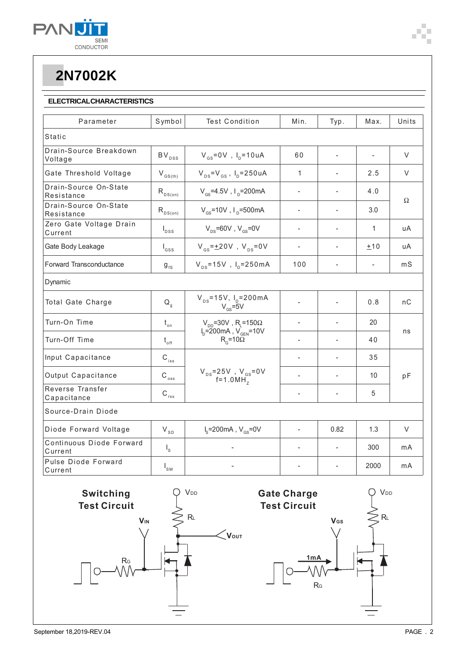

### **ELECTRICALCHARACTERISTICS**

| Parameter                           | Symbol                     | <b>Test Condition</b>                                                 | Min.                     | Typ.           | Max.           | Units    |  |
|-------------------------------------|----------------------------|-----------------------------------------------------------------------|--------------------------|----------------|----------------|----------|--|
| <b>Static</b>                       |                            |                                                                       |                          |                |                |          |  |
| Drain-Source Breakdown<br>Voltage   | $\mathsf{BV}_\mathsf{DSS}$ | $V_{gs} = 0V$ , $I_p = 10uA$                                          | 60                       | $\overline{a}$ |                | V        |  |
| Gate Threshold Voltage              | $\rm V_{\rm GS(th)}$       | $V_{DS} = V_{GS}$ , $I_D = 250 uA$                                    | $\mathbf{1}$             | $\overline{a}$ | 2.5            | V        |  |
| Drain-Source On-State<br>Resistance | $R_{DS(on)}$               | $V_{\text{cs}}$ =4.5V, $I_{\text{p}}$ =200mA                          | $\overline{\phantom{a}}$ |                | 4.0            | $\Omega$ |  |
| Drain-Source On-State<br>Resistance | $R_{DS(on)}$               | $V_{cs}$ =10V, $I_{p}$ =500mA                                         |                          | ÷              | 3.0            |          |  |
| Zero Gate Voltage Drain<br>Current  | $I_{DSS}$                  | $V_{\text{ps}}$ =60V, $V_{\text{gs}}$ =0V                             | $\overline{\phantom{a}}$ | ÷              | 1              | uA       |  |
| Gate Body Leakage                   | $I_{GSS}$                  | $V_{\text{gs}} = \pm 20V$ , $V_{\text{gs}} = 0V$                      | $\overline{a}$           | $\overline{a}$ | ±10            | uA       |  |
| Forward Transconductance            | $9_{fs}$                   | $V_{DS} = 15V$ , $I_{D} = 250mA$                                      | 100                      | $\overline{a}$ | $\overline{a}$ | mS       |  |
| Dynamic                             |                            |                                                                       |                          |                |                |          |  |
| Total Gate Charge                   | $Q_{\rm q}$                | $V_{DS} = 15V$ , $I_{D} = 200mA$<br>$V_{GS} = 5V$                     |                          |                | 0.8            | nC       |  |
| Turn-On Time                        | $t_{\rm on}$               | $V_{DD}$ =30V, R <sub>L</sub> =150 $\Omega$                           | $\overline{a}$           |                | 20             | ns       |  |
| Turn-Off Time                       | $t_{\rm off}$              | $I_{D} = 200 \text{mA}$ , $V_{GEN} = 10V$<br>$R_{\rm g}$ =10 $\Omega$ | $\overline{a}$           |                | 40             |          |  |
| Input Capacitance                   | $\mathsf{C}_{\text{iss}}$  | $V_{DS} = 25V$ , $V_{GS} = 0V$<br>f=1.0MH <sub>z</sub>                | $\overline{a}$           |                | 35             | pF       |  |
| Output Capacitance                  | $\rm{C_{\,}}_{\rm{oss}}$   |                                                                       |                          | $\overline{a}$ | 10             |          |  |
| Reverse Transfer<br>Capacitance     | $C_{\text{rss}}$           |                                                                       | $\overline{a}$           | $\overline{a}$ | 5              |          |  |
| Source-Drain Diode                  |                            |                                                                       |                          |                |                |          |  |
| Diode Forward Voltage               | $\rm V_{\rm SD}$           | $I_s = 200 \text{mA}$ , $V_{cs} = 0V$                                 | $\blacksquare$           | 0.82           | 1.3            | $\vee$   |  |
| Continuous Diode Forward<br>Current | $I_{\rm s}$                |                                                                       |                          |                | 300            | mA       |  |
| Pulse Diode Forward<br>Current      | $I_{\rm SM}$               |                                                                       |                          |                | 2000           | mA       |  |

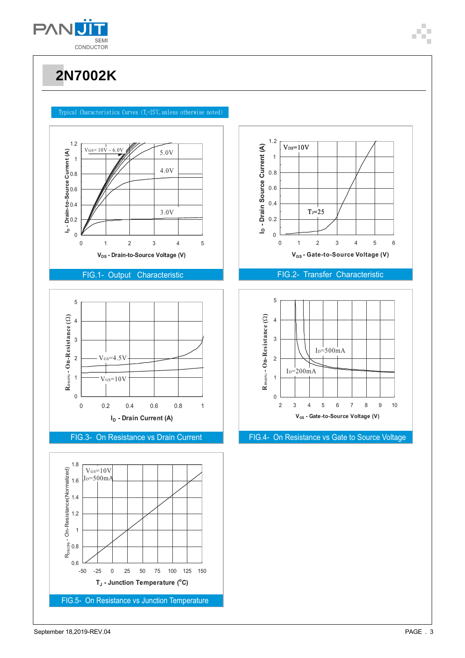

#### Typical Characteristics Curves (T<sub>4</sub>=25°C,unless otherwise noted)



#### FIG.1- Output Characteristic







### FIG.2- Transfer Characteristic



FIG.3- On Resistance vs Drain Current FIG.4- On Resistance vs Gate to Source Voltage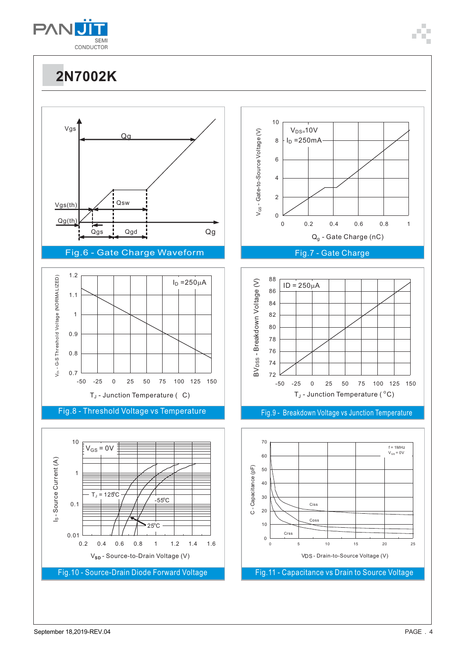

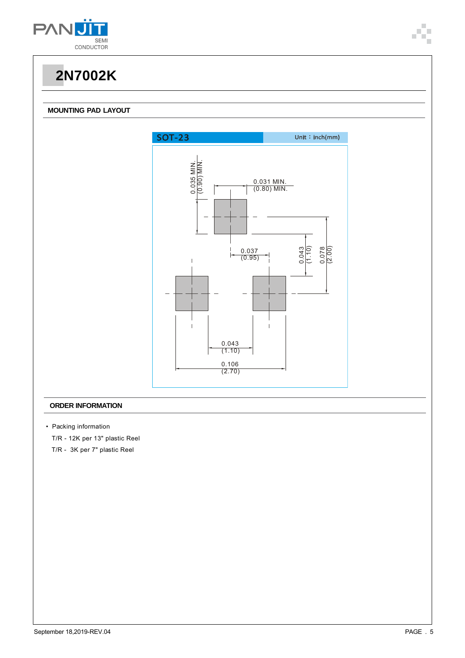

#### **MOUNTING PAD LAYOUT**



#### **ORDER INFORMATION**

- Packing information
- T/R 12K per 13" plastic Reel
- T/R 3K per 7" plastic Reel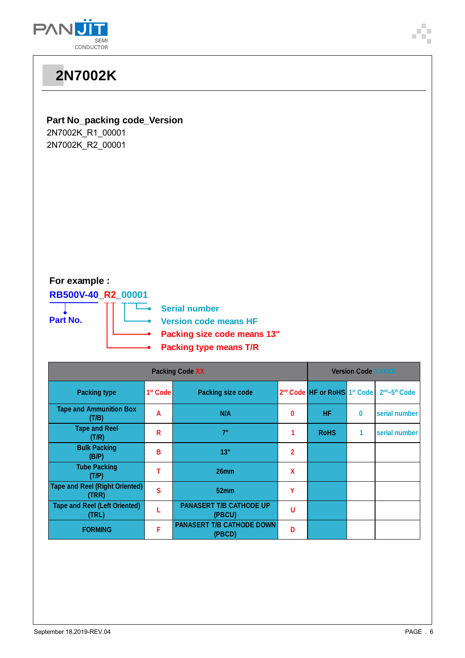

|                                                                                                                                                                                                                       | <b>2N7002K</b>                                 |                      |                                          |                           |                                                      |              |               |  |  |
|-----------------------------------------------------------------------------------------------------------------------------------------------------------------------------------------------------------------------|------------------------------------------------|----------------------|------------------------------------------|---------------------------|------------------------------------------------------|--------------|---------------|--|--|
| <b>Part No_packing code_Version</b><br>2N7002K_R1_00001<br>2N7002K_R2_00001<br>For example :<br>RB500V-40_R2_00001<br><b>Serial number</b><br>Part No.<br><b>Version code means HF</b><br>Packing size code means 13" |                                                |                      |                                          |                           |                                                      |              |               |  |  |
| <b>Packing type means T/R</b><br><b>Packing Code XX</b>                                                                                                                                                               |                                                |                      |                                          | <b>Version Code XXXXX</b> |                                                      |              |               |  |  |
|                                                                                                                                                                                                                       | <b>Packing type</b>                            | 1 <sup>st</sup> Code | <b>Packing size code</b>                 |                           | 2 <sup>nd</sup> Code HF or RoHS 1 <sup>st</sup> Code |              | 2nd~5th Code  |  |  |
|                                                                                                                                                                                                                       | <b>Tape and Ammunition Box</b><br>(T/B)        | A                    | N/A                                      | 0                         | HF.                                                  | 0            | serial number |  |  |
|                                                                                                                                                                                                                       | <b>Tape and Reel</b><br>(T/R)                  | $\mathsf{R}$         | 7"                                       | 1                         | <b>RoHS</b>                                          | $\mathbf{1}$ | serial number |  |  |
|                                                                                                                                                                                                                       | <b>Bulk Packing</b><br>(B/P)                   | B                    | 13"                                      | $\overline{2}$            |                                                      |              |               |  |  |
|                                                                                                                                                                                                                       | <b>Tube Packing</b><br>(T/P)                   | $\mathsf T$          | 26mm                                     | $\mathbf{x}$              |                                                      |              |               |  |  |
|                                                                                                                                                                                                                       | <b>Tape and Reel (Right Oriented)</b><br>(TRR) | $\mathbf{s}$         | 52mm                                     | Y                         |                                                      |              |               |  |  |
|                                                                                                                                                                                                                       | <b>Tape and Reel (Left Oriented)</b><br>(TRL)  | L                    | <b>PANASERT T/B CATHODE UP</b><br>(PBCU) | U                         |                                                      |              |               |  |  |

**(PBCD) <sup>D</sup>**

**F PANASERT T/B CATHODE DOWN**